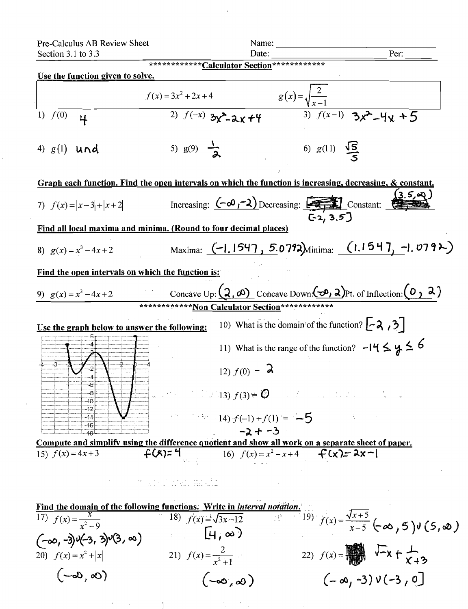Name: Date:

Per: